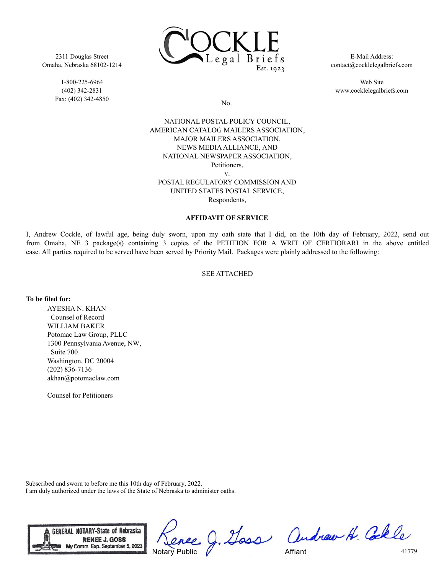

2311 Douglas Street Omaha, Nebraska 68102-1214

> 1-800-225-6964 (402) 342-2831 Fax: (402) 342-4850

E-Mail Address: contact@cocklelegalbriefs.com

Web Site www.cocklelegalbriefs.com

No.

## NATIONAL POSTAL POLICY COUNCIL, AMERICAN CATALOG MAILERS ASSOCIATION, MAJOR MAILERS ASSOCIATION, NEWS MEDIA ALLIANCE, AND NATIONAL NEWSPAPER ASSOCIATION, Petitioners,

v.

POSTAL REGULATORY COMMISSION AND UNITED STATES POSTAL SERVICE, Respondents,

## **AFFIDAVIT OF SERVICE**

I, Andrew Cockle, of lawful age, being duly sworn, upon my oath state that I did, on the 10th day of February, 2022, send out from Omaha, NE 3 package(s) containing 3 copies of the PETITION FOR A WRIT OF CERTIORARI in the above entitled case. All parties required to be served have been served by Priority Mail. Packages were plainly addressed to the following:

SEE ATTACHED

**To be filed for:**

AYESHA N. KHAN Counsel of Record WILLIAM BAKER Potomac Law Group, PLLC 1300 Pennsylvania Avenue, NW, Suite 700 Washington, DC 20004 (202) 836-7136 akhan@potomaclaw.com

Counsel for Petitioners

Subscribed and sworn to before me this 10th day of February, 2022. I am duly authorized under the laws of the State of Nebraska to administer oaths.



Notary Public

Doss andrew H. Colle